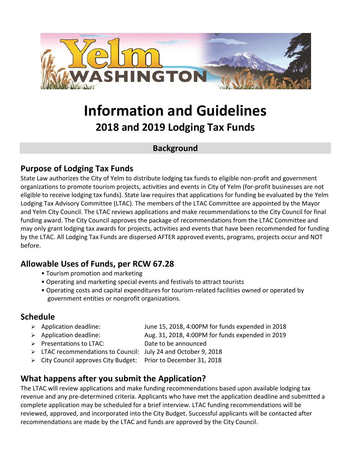

# **Information and Guidelines 2018 and 2019 Lodging Tax Funds**

### **Background**

## **Purpose of Lodging Tax Funds**

State Law authorizes the City of Yelm to distribute lodging tax funds to eligible non-profit and government organizations to promote tourism projects, activities and events in City of Yelm (for-profit businesses are not eligible to receive lodging tax funds). State law requires that applications for funding be evaluated by the Yelm Lodging Tax Advisory Committee (LTAC). The members of the LTAC Committee are appointed by the Mayor and Yelm City Council. The LTAC reviews applications and make recommendations to the City Council for final funding award. The City Council approves the package of recommendations from the LTAC Committee and may only grant lodging tax awards for projects, activities and events that have been recommended for funding by the LTAC. All Lodging Tax Funds are dispersed AFTER approved events, programs, projects occur and NOT before.

### **Allowable Uses of Funds, per RCW 67.28**

- Tourism promotion and marketing
- Operating and marketing special events and festivals to attract tourists
- Operating costs and capital expenditures for tourism-related facilities owned or operated by government entities or nonprofit organizations.

### **Schedule**

- Application deadline: June 15, 2018, 4:00PM for funds expended in 2018
- Application deadline: Aug. 31, 2018, 4:00PM for funds expended in 2019
- > Presentations to LTAC: Date to be announced
- LTAC recommendations to Council: July 24 and October 9, 2018
- City Council approves City Budget: Prior to December 31, 2018

## **What happens after you submit the Application?**

The LTAC will review applications and make funding recommendations based upon available lodging tax revenue and any pre-determined criteria. Applicants who have met the application deadline and submitted a complete application may be scheduled for a brief interview. LTAC funding recommendations will be reviewed, approved, and incorporated into the City Budget. Successful applicants will be contacted after recommendations are made by the LTAC and funds are approved by the City Council.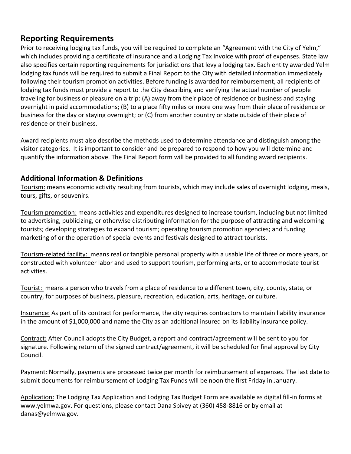### **Reporting Requirements**

Prior to receiving lodging tax funds, you will be required to complete an "Agreement with the City of Yelm," which includes providing a certificate of insurance and a Lodging Tax Invoice with proof of expenses. State law also specifies certain reporting requirements for jurisdictions that levy a lodging tax. Each entity awarded Yelm lodging tax funds will be required to submit a Final Report to the City with detailed information immediately following their tourism promotion activities. Before funding is awarded for reimbursement, all recipients of lodging tax funds must provide a report to the City describing and verifying the actual number of people traveling for business or pleasure on a trip: (A) away from their place of residence or business and staying overnight in paid accommodations; (B) to a place fifty miles or more one way from their place of residence or business for the day or staying overnight; or (C) from another country or state outside of their place of residence or their business.

Award recipients must also describe the methods used to determine attendance and distinguish among the visitor categories. It is important to consider and be prepared to respond to how you will determine and quantify the information above. The Final Report form will be provided to all funding award recipients.

#### **Additional Information & Definitions**

Tourism: means economic activity resulting from tourists, which may include sales of overnight lodging, meals, tours, gifts, or souvenirs.

Tourism promotion: means activities and expenditures designed to increase tourism, including but not limited to advertising, publicizing, or otherwise distributing information for the purpose of attracting and welcoming tourists; developing strategies to expand tourism; operating tourism promotion agencies; and funding marketing of or the operation of special events and festivals designed to attract tourists.

Tourism-related facility: means real or tangible personal property with a usable life of three or more years, or constructed with volunteer labor and used to support tourism, performing arts, or to accommodate tourist activities.

Tourist: means a person who travels from a place of residence to a different town, city, county, state, or country, for purposes of business, pleasure, recreation, education, arts, heritage, or culture.

Insurance: As part of its contract for performance, the city requires contractors to maintain liability insurance in the amount of \$1,000,000 and name the City as an additional insured on its liability insurance policy.

Contract: After Council adopts the City Budget, a report and contract/agreement will be sent to you for signature. Following return of the signed contract/agreement, it will be scheduled for final approval by City Council.

Payment: Normally, payments are processed twice per month for reimbursement of expenses. The last date to submit documents for reimbursement of Lodging Tax Funds will be noon the first Friday in January.

Application: The Lodging Tax Application and Lodging Tax Budget Form are available as digital fill-in forms at [www.yelmwa.gov.](http://www.ci.tumwater.wa.us/departments/executive/city-programs/lodging-tax-advisory-committee) For questions, please contact Dana Spivey at (360) 458-8816 or by email at danas@yelmwa.gov.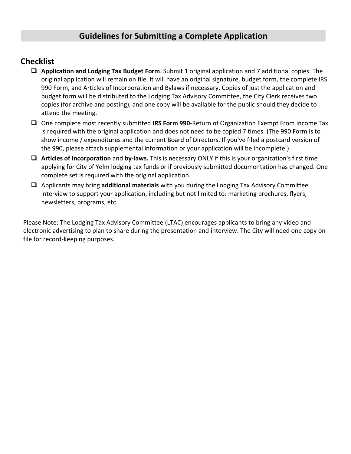### **Guidelines for Submitting a Complete Application**

### **Checklist**

- **Application and Lodging Tax Budget Form**. Submit 1 original application and 7 additional copies. The original application will remain on file. It will have an original signature, budget form, the complete IRS 990 Form, and Articles of Incorporation and Bylaws if necessary. Copies of just the application and budget form will be distributed to the Lodging Tax Advisory Committee, the City Clerk receives two copies (for archive and posting), and one copy will be available for the public should they decide to attend the meeting.
- One complete most recently submitted **IRS Form 990**-Return of Organization Exempt From Income Tax is required with the original application and does not need to be copied 7 times. (The 990 Form is to show income / expenditures and the current Board of Directors. If you've filed a postcard version of the 990, please attach supplemental information or your application will be incomplete.)
- **Articles of Incorporation** and **by-laws.** This is necessary ONLY if this is your organization's first time applying for City of Yelm lodging tax funds or if previously submitted documentation has changed. One complete set is required with the original application.
- Applicants may bring **additional materials** with you during the Lodging Tax Advisory Committee interview to support your application, including but not limited to: marketing brochures, flyers, newsletters, programs, etc.

Please Note: The Lodging Tax Advisory Committee (LTAC) encourages applicants to bring any video and electronic advertising to plan to share during the presentation and interview. The City will need one copy on file for record-keeping purposes.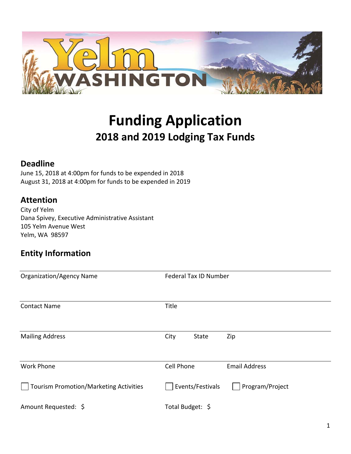

# **Funding Application 2018 and 2019 Lodging Tax Funds**

### **Deadline**

June 15, 2018 at 4:00pm for funds to be expended in 2018 August 31, 2018 at 4:00pm for funds to be expended in 2019

### **Attention**

City of Yelm Dana Spivey, Executive Administrative Assistant 105 Yelm Avenue West Yelm, WA 98597

### **Entity Information**

| <b>Organization/Agency Name</b>               | Federal Tax ID Number               |  |  |
|-----------------------------------------------|-------------------------------------|--|--|
| <b>Contact Name</b>                           | Title                               |  |  |
| <b>Mailing Address</b>                        | City<br>Zip<br>State                |  |  |
| <b>Work Phone</b>                             | Cell Phone<br><b>Email Address</b>  |  |  |
| <b>Tourism Promotion/Marketing Activities</b> | Events/Festivals<br>Program/Project |  |  |
| Amount Requested: \$                          | Total Budget: \$                    |  |  |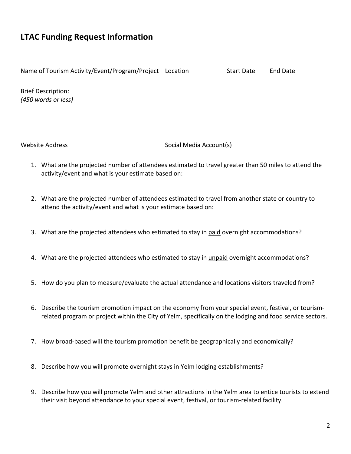Name of Tourism Activity/Event/Program/Project Location **Start Date** End Date

Brief Description: *(450 words or less)*

Website Address **Social Media Account(s)** Social Media Account(s)

- 1. What are the projected number of attendees estimated to travel greater than 50 miles to attend the activity/event and what is your estimate based on:
- 2. What are the projected number of attendees estimated to travel from another state or country to attend the activity/event and what is your estimate based on:
- 3. What are the projected attendees who estimated to stay in paid overnight accommodations?
- 4. What are the projected attendees who estimated to stay in unpaid overnight accommodations?
- 5. How do you plan to measure/evaluate the actual attendance and locations visitors traveled from?
- 6. Describe the tourism promotion impact on the economy from your special event, festival, or tourism‐ related program or project within the City of Yelm, specifically on the lodging and food service sectors.
- 7. How broad-based will the tourism promotion benefit be geographically and economically?
- 8. Describe how you will promote overnight stays in Yelm lodging establishments?
- 9. Describe how you will promote Yelm and other attractions in the Yelm area to entice tourists to extend their visit beyond attendance to your special event, festival, or tourism‐related facility.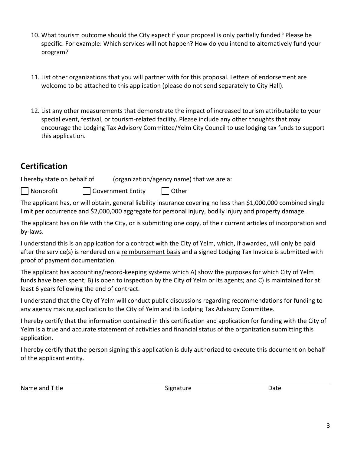- 10. What tourism outcome should the City expect if your proposal is only partially funded? Please be specific. For example: Which services will not happen? How do you intend to alternatively fund your program?
- 11. List other organizations that you will partner with for this proposal. Letters of endorsement are welcome to be attached to this application (please do not send separately to City Hall).
- 12. List any other measurements that demonstrate the impact of increased tourism attributable to your special event, festival, or tourism-related facility. Please include any other thoughts that may encourage the Lodging Tax Advisory Committee/Yelm City Council to use lodging tax funds to support this application.

## **Certification**

I hereby state on behalf of (organization/agency name) that we are a:

Nonprofit Government Entity Other

The applicant has, or will obtain, general liability insurance covering no less than \$1,000,000 combined single limit per occurrence and \$2,000,000 aggregate for personal injury, bodily injury and property damage.

The applicant has on file with the City, or is submitting one copy, of their current articles of incorporation and by‐laws.

I understand this is an application for a contract with the City of Yelm, which, if awarded, will only be paid after the service(s) is rendered on a reimbursement basis and a signed Lodging Tax Invoice is submitted with proof of payment documentation.

The applicant has accounting/record‐keeping systems which A) show the purposes for which City of Yelm funds have been spent; B) is open to inspection by the City of Yelm or its agents; and C) is maintained for at least 6 years following the end of contract.

I understand that the City of Yelm will conduct public discussions regarding recommendations for funding to any agency making application to the City of Yelm and its Lodging Tax Advisory Committee.

I hereby certify that the information contained in this certification and application for funding with the City of Yelm is a true and accurate statement of activities and financial status of the organization submitting this application.

I hereby certify that the person signing this application is duly authorized to execute this document on behalf of the applicant entity.

Name and Title **Signature Signature Signature Signature Date**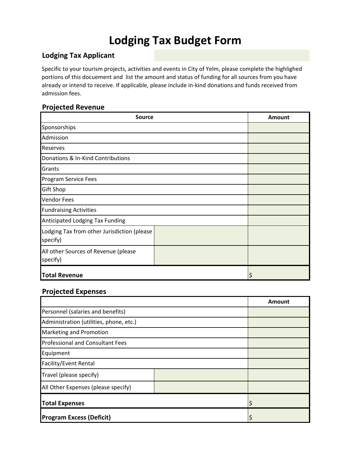# **Lodging Tax Budget Form**

### **Lodging Tax Applicant**

Specific to your tourism projects, activities and events in City of Yelm, please complete the highlighed portions of this docuement and list the amount and status of funding for all sources from you have already or intend to receive. If applicable, please include in‐kind donations and funds received from admission fees.

#### **Projected Revenue**

| <b>Source</b>                                           |  | <b>Amount</b> |
|---------------------------------------------------------|--|---------------|
| Sponsorships                                            |  |               |
| Admission                                               |  |               |
| <b>Reserves</b>                                         |  |               |
| Donations & In-Kind Contributions                       |  |               |
| Grants                                                  |  |               |
| Program Service Fees                                    |  |               |
| <b>Gift Shop</b>                                        |  |               |
| <b>Vendor Fees</b>                                      |  |               |
| <b>Fundraising Activities</b>                           |  |               |
| Anticipated Lodging Tax Funding                         |  |               |
| Lodging Tax from other Jurisdiction (please<br>specify) |  |               |
| All other Sources of Revenue (please<br>specify)        |  |               |
| <b>Total Revenue</b>                                    |  | \$            |

#### **Projected Expenses**

|                                         |  | Amount |
|-----------------------------------------|--|--------|
| Personnel (salaries and benefits)       |  |        |
| Administration (utilities, phone, etc.) |  |        |
| Marketing and Promotion                 |  |        |
| <b>Professional and Consultant Fees</b> |  |        |
| Equipment                               |  |        |
| <b>Facility/Event Rental</b>            |  |        |
| Travel (please specify)                 |  |        |
| All Other Expenses (please specify)     |  |        |
| <b>Total Expenses</b>                   |  | \$     |
| <b>Program Excess (Deficit)</b>         |  |        |